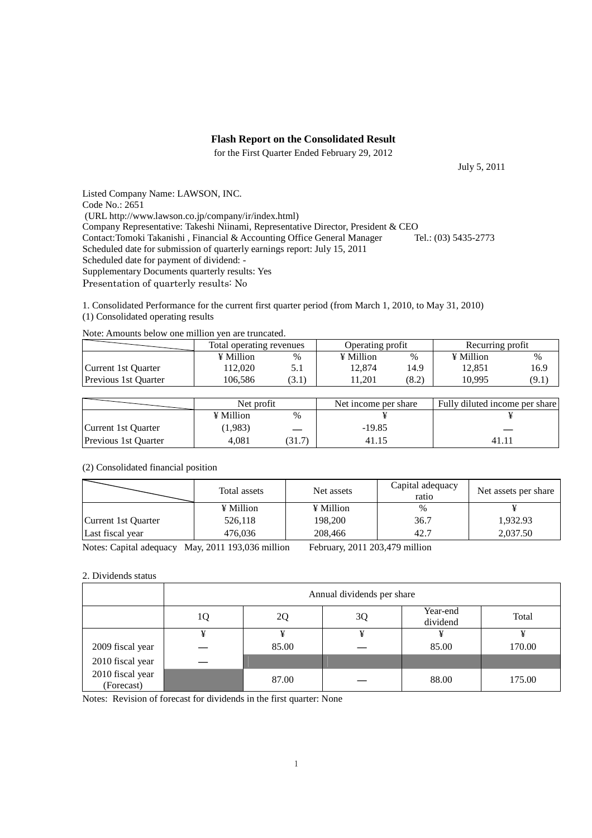### **Flash Report on the Consolidated Result**

for the First Quarter Ended February 29, 2012

July 5, 2011

Listed Company Name: LAWSON, INC. Code No.: 2651 (URL http://www.lawson.co.jp/company/ir/index.html) Company Representative: Takeshi Niinami, Representative Director, President & CEO<br>Contact: Tomoki Takanishi, Financial & Accounting Office General Manager Tel.: (03) 5435-2773 Contact:Tomoki Takanishi, Financial & Accounting Office General Manager Scheduled date for submission of quarterly earnings report: July 15, 2011 Scheduled date for payment of dividend: - Supplementary Documents quarterly results: Yes Presentation of quarterly results: No

1. Consolidated Performance for the current first quarter period (from March 1, 2010, to May 31, 2010) (1) Consolidated operating results

|                      | Total operating revenues |      | Operating profit |       | Recurring profit |       |  |  |  |
|----------------------|--------------------------|------|------------------|-------|------------------|-------|--|--|--|
|                      | ¥ Million                | %    | ¥ Million        | %     | ¥ Million        | %     |  |  |  |
| Current 1st Quarter  | '12.020                  | 5.1  | 12.874           | 14.9  | 12.851           | 16.9  |  |  |  |
| Previous 1st Quarter | 106.586                  | 3.1) | 1.201            | (8.2) | 10.995           | (9.1) |  |  |  |

|  |  |  |  | Note: Amounts below one million yen are truncated. |
|--|--|--|--|----------------------------------------------------|
|--|--|--|--|----------------------------------------------------|

|                             | Net profit |                 | Net income per share | Fully diluted income per share |  |
|-----------------------------|------------|-----------------|----------------------|--------------------------------|--|
|                             | ¥ Million  | $\frac{0}{0}$   |                      |                                |  |
| Current 1st Quarter         | (1,983)    |                 | $-19.85$             |                                |  |
| <b>Previous 1st Quarter</b> | 4.081      | $.31.7^{\circ}$ | 41.15                |                                |  |

### (2) Consolidated financial position

|                     | Total assets | Net assets | Capital adequacy<br>ratio | Net assets per share |  |
|---------------------|--------------|------------|---------------------------|----------------------|--|
|                     | ¥ Million    | ¥ Million  | %                         |                      |  |
| Current 1st Quarter | 526,118      | 198,200    | 36.7                      | 1,932.93             |  |
| Last fiscal year    | 476.036      | 208,466    | 42.7                      | 2,037.50             |  |

Notes: Capital adequacy May, 2011 193,036 million February, 2011 203,479 million

#### 2. Dividends status

|                                | Annual dividends per share |       |    |                      |        |  |  |
|--------------------------------|----------------------------|-------|----|----------------------|--------|--|--|
|                                | 1Q                         | 20    | 3Q | Year-end<br>dividend | Total  |  |  |
|                                | ¥                          | ¥     | ¥  |                      |        |  |  |
| 2009 fiscal year               |                            | 85.00 |    | 85.00                | 170.00 |  |  |
| 2010 fiscal year               |                            |       |    |                      |        |  |  |
| 2010 fiscal year<br>(Forecast) |                            | 87.00 |    | 88.00                | 175.00 |  |  |

Notes: Revision of forecast for dividends in the first quarter: None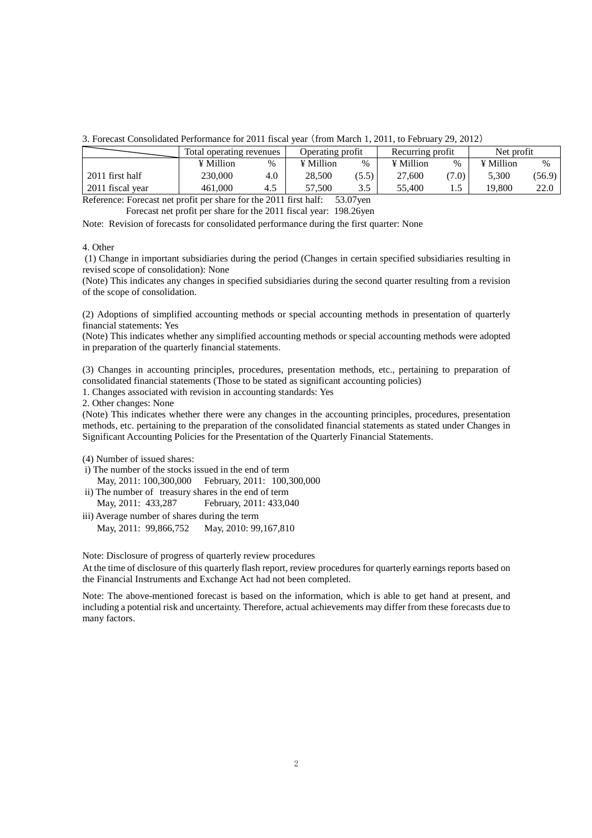| 3. Forecast Consolidated Performance for 2011 fiscal year (from March 1, 2011, to February 29, 2012) |  |
|------------------------------------------------------------------------------------------------------|--|
|------------------------------------------------------------------------------------------------------|--|

|                  | Total operating revenues |     | Operating profit |            | Recurring profit |       | Net profit |        |
|------------------|--------------------------|-----|------------------|------------|------------------|-------|------------|--------|
|                  | ¥ Million                | %   | ¥ Million        | $\%$       | ¥ Million        | $\%$  | ¥ Million  | $\%$   |
| 2011 first half  | 230.000                  | 4.0 | 28.500           | (5.5)      | 27.600           | (7.0) | 5.300      | (56.9) |
| 2011 fiscal vear | 461,000                  | 4.5 | 57.500           | 25<br>ن. د | 55.400           |       | 19.800     | 22.0   |

Reference: Forecast net profit per share for the 2011 first half: 53.07yen

Forecast net profit per share for the 2011 fiscal year: 198.26yen

Note: Revision of forecasts for consolidated performance during the first quarter: None

#### 4. Other

 (1) Change in important subsidiaries during the period (Changes in certain specified subsidiaries resulting in revised scope of consolidation): None

(Note) This indicates any changes in specified subsidiaries during the second quarter resulting from a revision of the scope of consolidation.

(2) Adoptions of simplified accounting methods or special accounting methods in presentation of quarterly financial statements: Yes

(Note) This indicates whether any simplified accounting methods or special accounting methods were adopted in preparation of the quarterly financial statements.

(3) Changes in accounting principles, procedures, presentation methods, etc., pertaining to preparation of consolidated financial statements (Those to be stated as significant accounting policies)

1. Changes associated with revision in accounting standards: Yes

2. Other changes: None

(Note) This indicates whether there were any changes in the accounting principles, procedures, presentation methods, etc. pertaining to the preparation of the consolidated financial statements as stated under Changes in Significant Accounting Policies for the Presentation of the Quarterly Financial Statements.

(4) Number of issued shares:

- i) The number of the stocks issued in the end of term May, 2011: 100,300,000 February, 2011: 100,300,000
- ii) The number of treasury shares in the end of term May, 2011: 433,287 February, 2011: 433,040
- iii) Average number of shares during the term May, 2011: 99,866,752 May, 2010: 99,167,810

Note: Disclosure of progress of quarterly review procedures

At the time of disclosure of this quarterly flash report, review procedures for quarterly earnings reports based on the Financial Instruments and Exchange Act had not been completed.

Note: The above-mentioned forecast is based on the information, which is able to get hand at present, and including a potential risk and uncertainty. Therefore, actual achievements may differ from these forecasts due to many factors.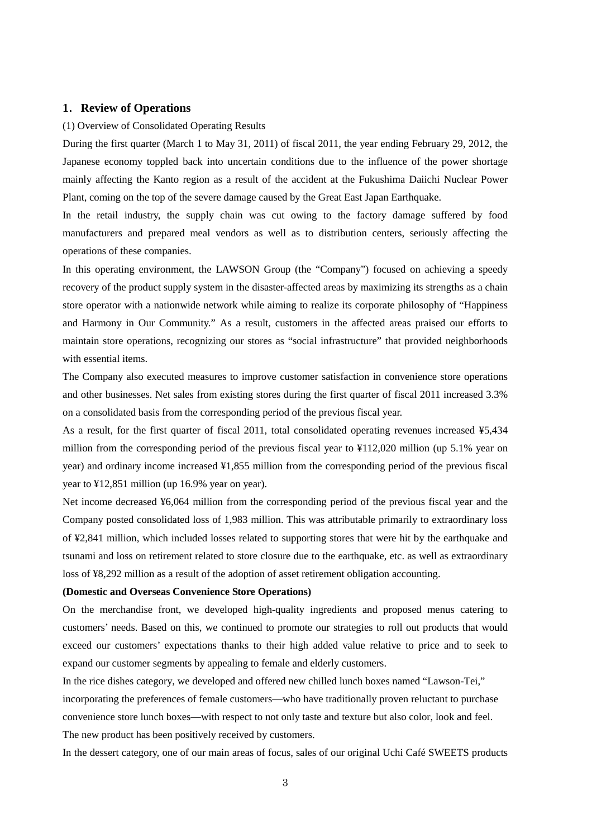# **1**.**Review of Operations**

#### (1) Overview of Consolidated Operating Results

During the first quarter (March 1 to May 31, 2011) of fiscal 2011, the year ending February 29, 2012, the Japanese economy toppled back into uncertain conditions due to the influence of the power shortage mainly affecting the Kanto region as a result of the accident at the Fukushima Daiichi Nuclear Power Plant, coming on the top of the severe damage caused by the Great East Japan Earthquake.

In the retail industry, the supply chain was cut owing to the factory damage suffered by food manufacturers and prepared meal vendors as well as to distribution centers, seriously affecting the operations of these companies.

In this operating environment, the LAWSON Group (the "Company") focused on achieving a speedy recovery of the product supply system in the disaster-affected areas by maximizing its strengths as a chain store operator with a nationwide network while aiming to realize its corporate philosophy of "Happiness and Harmony in Our Community." As a result, customers in the affected areas praised our efforts to maintain store operations, recognizing our stores as "social infrastructure" that provided neighborhoods with essential items.

The Company also executed measures to improve customer satisfaction in convenience store operations and other businesses. Net sales from existing stores during the first quarter of fiscal 2011 increased 3.3% on a consolidated basis from the corresponding period of the previous fiscal year.

As a result, for the first quarter of fiscal 2011, total consolidated operating revenues increased ¥5,434 million from the corresponding period of the previous fiscal year to ¥112,020 million (up 5.1% year on year) and ordinary income increased ¥1,855 million from the corresponding period of the previous fiscal year to ¥12,851 million (up 16.9% year on year).

Net income decreased ¥6,064 million from the corresponding period of the previous fiscal year and the Company posted consolidated loss of 1,983 million. This was attributable primarily to extraordinary loss of ¥2,841 million, which included losses related to supporting stores that were hit by the earthquake and tsunami and loss on retirement related to store closure due to the earthquake, etc. as well as extraordinary loss of ¥8,292 million as a result of the adoption of asset retirement obligation accounting.

### **(Domestic and Overseas Convenience Store Operations)**

On the merchandise front, we developed high-quality ingredients and proposed menus catering to customers' needs. Based on this, we continued to promote our strategies to roll out products that would exceed our customers' expectations thanks to their high added value relative to price and to seek to expand our customer segments by appealing to female and elderly customers.

In the rice dishes category, we developed and offered new chilled lunch boxes named "Lawson-Tei," incorporating the preferences of female customers—who have traditionally proven reluctant to purchase convenience store lunch boxes—with respect to not only taste and texture but also color, look and feel.

The new product has been positively received by customers.

In the dessert category, one of our main areas of focus, sales of our original Uchi Café SWEETS products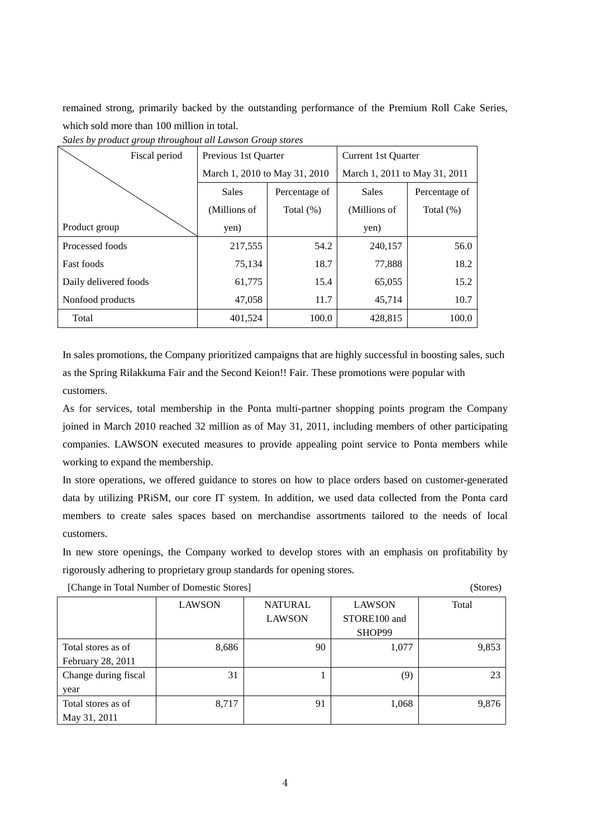remained strong, primarily backed by the outstanding performance of the Premium Roll Cake Series, which sold more than 100 million in total.

| Fiscal period         | Previous 1st Quarter          |               | Current 1st Ouarter           |               |  |
|-----------------------|-------------------------------|---------------|-------------------------------|---------------|--|
|                       | March 1, 2010 to May 31, 2010 |               | March 1, 2011 to May 31, 2011 |               |  |
|                       | <b>Sales</b>                  | Percentage of | <b>Sales</b>                  | Percentage of |  |
|                       | (Millions of                  | Total $(\%)$  | (Millions of                  | Total $(\%)$  |  |
| Product group         | yen)                          |               | yen)                          |               |  |
| Processed foods       | 217,555                       | 54.2          | 240,157                       | 56.0          |  |
| <b>Fast foods</b>     | 75,134                        | 18.7          | 77,888                        | 18.2          |  |
| Daily delivered foods | 61,775                        | 15.4          | 65,055                        | 15.2          |  |
| Nonfood products      | 47,058                        | 11.7          | 45,714                        | 10.7          |  |
| Total                 | 401,524                       | 100.0         | 428,815                       | 100.0         |  |

*Sales by product group throughout all Lawson Group stores* 

In sales promotions, the Company prioritized campaigns that are highly successful in boosting sales, such as the Spring Rilakkuma Fair and the Second Keion!! Fair. These promotions were popular with customers.

As for services, total membership in the Ponta multi-partner shopping points program the Company joined in March 2010 reached 32 million as of May 31, 2011, including members of other participating companies. LAWSON executed measures to provide appealing point service to Ponta members while working to expand the membership.

In store operations, we offered guidance to stores on how to place orders based on customer-generated data by utilizing PRiSM, our core IT system. In addition, we used data collected from the Ponta card members to create sales spaces based on merchandise assortments tailored to the needs of local customers.

In new store openings, the Company worked to develop stores with an emphasis on profitability by rigorously adhering to proprietary group standards for opening stores.

|                      | <b>LAWSON</b> | <b>NATURAL</b> | <b>LAWSON</b> | Total |
|----------------------|---------------|----------------|---------------|-------|
|                      |               | <b>LAWSON</b>  | STORE100 and  |       |
|                      |               |                | SHOP99        |       |
| Total stores as of   | 8,686         | 90             | 1,077         | 9,853 |
| February 28, 2011    |               |                |               |       |
| Change during fiscal | 31            |                | (9)           | 23    |
| year                 |               |                |               |       |
| Total stores as of   | 8,717         | 91             | 1,068         | 9,876 |
| May 31, 2011         |               |                |               |       |

[Change in Total Number of Domestic Stores] (Stores)

4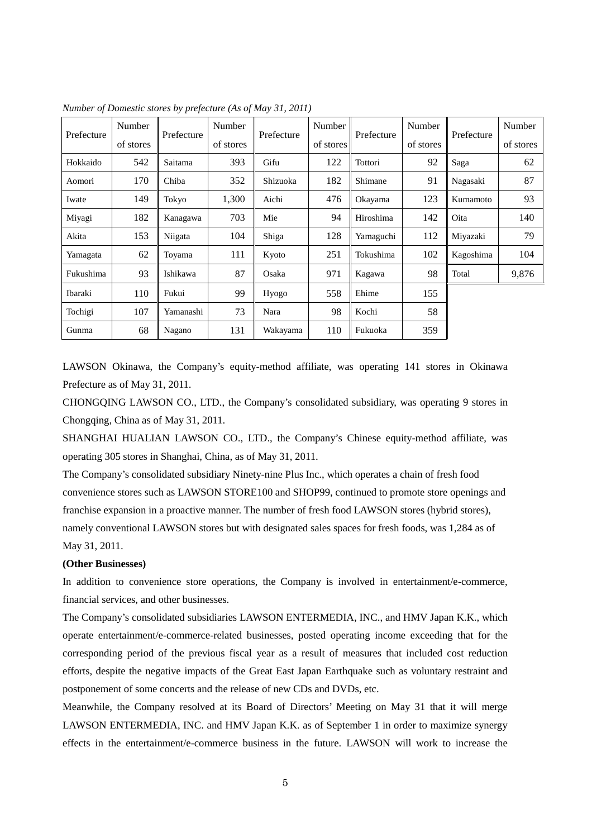|            | Number    |            | Number    |            | Number    | Prefecture | Number    |            | Number    |
|------------|-----------|------------|-----------|------------|-----------|------------|-----------|------------|-----------|
| Prefecture | of stores | Prefecture | of stores | Prefecture | of stores |            | of stores | Prefecture | of stores |
| Hokkaido   | 542       | Saitama    | 393       | Gifu       | 122       | Tottori    | 92        | Saga       | 62        |
| Aomori     | 170       | Chiba      | 352       | Shizuoka   | 182       | Shimane    | 91        | Nagasaki   | 87        |
| Iwate      | 149       | Tokyo      | 1.300     | Aichi      | 476       | Okayama    | 123       | Kumamoto   | 93        |
| Miyagi     | 182       | Kanagawa   | 703       | Mie        | 94        | Hiroshima  | 142       | Oita       | 140       |
| Akita      | 153       | Niigata    | 104       | Shiga      | 128       | Yamaguchi  | 112       | Miyazaki   | 79        |
| Yamagata   | 62        | Toyama     | 111       | Kyoto      | 251       | Tokushima  | 102       | Kagoshima  | 104       |
| Fukushima  | 93        | Ishikawa   | 87        | Osaka      | 971       | Kagawa     | 98        | Total      | 9,876     |
| Ibaraki    | 110       | Fukui      | 99        | Hyogo      | 558       | Ehime      | 155       |            |           |
| Tochigi    | 107       | Yamanashi  | 73        | Nara       | 98        | Kochi      | 58        |            |           |
| Gunma      | 68        | Nagano     | 131       | Wakayama   | 110       | Fukuoka    | 359       |            |           |

*Number of Domestic stores by prefecture (As of May 31, 2011)* 

LAWSON Okinawa, the Company's equity-method affiliate, was operating 141 stores in Okinawa Prefecture as of May 31, 2011.

CHONGQING LAWSON CO., LTD., the Company's consolidated subsidiary, was operating 9 stores in Chongqing, China as of May 31, 2011.

SHANGHAI HUALIAN LAWSON CO., LTD., the Company's Chinese equity-method affiliate, was operating 305 stores in Shanghai, China, as of May 31, 2011.

The Company's consolidated subsidiary Ninety-nine Plus Inc., which operates a chain of fresh food convenience stores such as LAWSON STORE100 and SHOP99, continued to promote store openings and franchise expansion in a proactive manner. The number of fresh food LAWSON stores (hybrid stores), namely conventional LAWSON stores but with designated sales spaces for fresh foods, was 1,284 as of May 31, 2011.

### **(Other Businesses)**

In addition to convenience store operations, the Company is involved in entertainment/e-commerce, financial services, and other businesses.

The Company's consolidated subsidiaries LAWSON ENTERMEDIA, INC., and HMV Japan K.K., which operate entertainment/e-commerce-related businesses, posted operating income exceeding that for the corresponding period of the previous fiscal year as a result of measures that included cost reduction efforts, despite the negative impacts of the Great East Japan Earthquake such as voluntary restraint and postponement of some concerts and the release of new CDs and DVDs, etc.

Meanwhile, the Company resolved at its Board of Directors' Meeting on May 31 that it will merge LAWSON ENTERMEDIA, INC. and HMV Japan K.K. as of September 1 in order to maximize synergy effects in the entertainment/e-commerce business in the future. LAWSON will work to increase the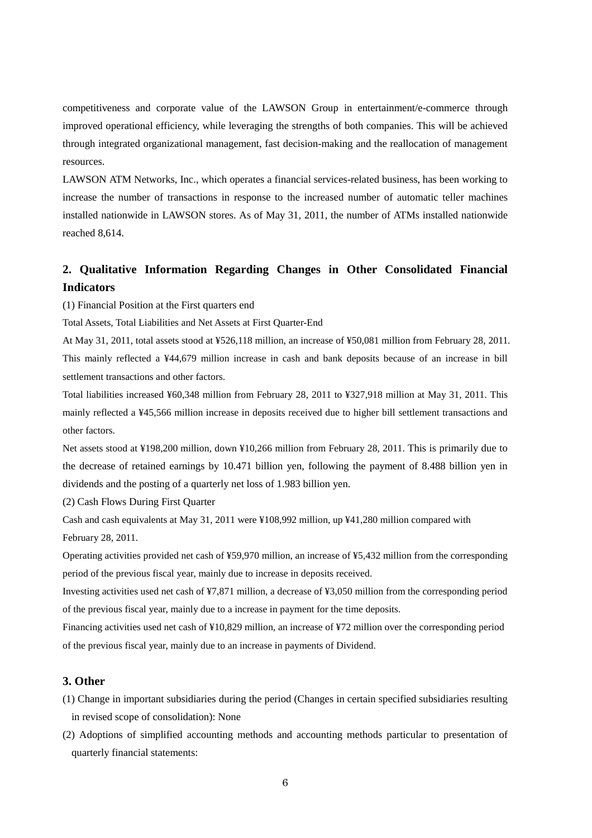competitiveness and corporate value of the LAWSON Group in entertainment/e-commerce through improved operational efficiency, while leveraging the strengths of both companies. This will be achieved through integrated organizational management, fast decision-making and the reallocation of management resources.

LAWSON ATM Networks, Inc., which operates a financial services-related business, has been working to increase the number of transactions in response to the increased number of automatic teller machines installed nationwide in LAWSON stores. As of May 31, 2011, the number of ATMs installed nationwide reached 8,614.

# **2. Qualitative Information Regarding Changes in Other Consolidated Financial Indicators**

(1) Financial Position at the First quarters end

Total Assets, Total Liabilities and Net Assets at First Quarter-End

At May 31, 2011, total assets stood at ¥526,118 million, an increase of ¥50,081 million from February 28, 2011. This mainly reflected a ¥44,679 million increase in cash and bank deposits because of an increase in bill settlement transactions and other factors.

Total liabilities increased ¥60,348 million from February 28, 2011 to ¥327,918 million at May 31, 2011. This mainly reflected a ¥45,566 million increase in deposits received due to higher bill settlement transactions and other factors.

Net assets stood at ¥198,200 million, down ¥10,266 million from February 28, 2011. This is primarily due to the decrease of retained earnings by 10.471 billion yen, following the payment of 8.488 billion yen in dividends and the posting of a quarterly net loss of 1.983 billion yen.

(2) Cash Flows During First Quarter

Cash and cash equivalents at May 31, 2011 were ¥108,992 million, up ¥41,280 million compared with February 28, 2011.

Operating activities provided net cash of ¥59,970 million, an increase of ¥5,432 million from the corresponding period of the previous fiscal year, mainly due to increase in deposits received.

Investing activities used net cash of ¥7,871 million, a decrease of ¥3,050 million from the corresponding period of the previous fiscal year, mainly due to a increase in payment for the time deposits.

Financing activities used net cash of ¥10,829 million, an increase of ¥72 million over the corresponding period of the previous fiscal year, mainly due to an increase in payments of Dividend.

# **3. Other**

- (1) Change in important subsidiaries during the period (Changes in certain specified subsidiaries resulting in revised scope of consolidation): None
- (2) Adoptions of simplified accounting methods and accounting methods particular to presentation of quarterly financial statements: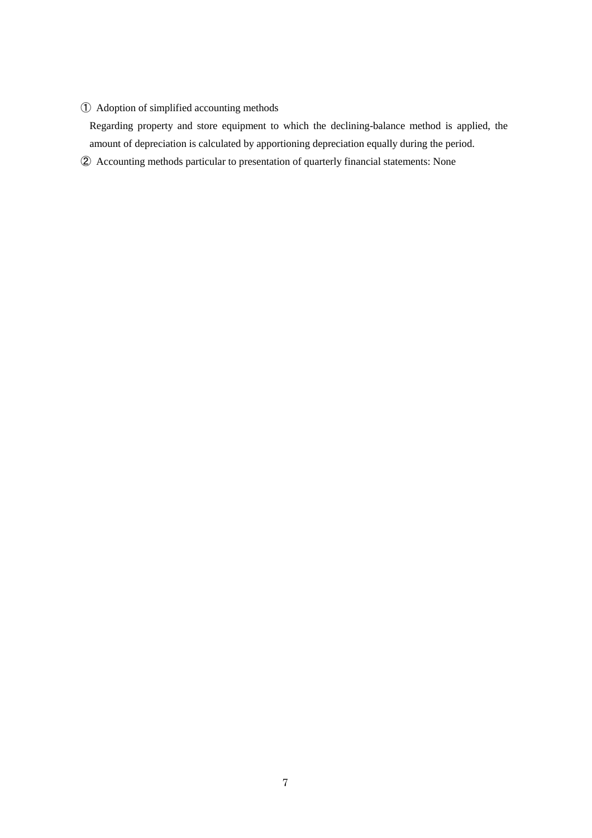# ① Adoption of simplified accounting methods

Regarding property and store equipment to which the declining-balance method is applied, the amount of depreciation is calculated by apportioning depreciation equally during the period.

② Accounting methods particular to presentation of quarterly financial statements: None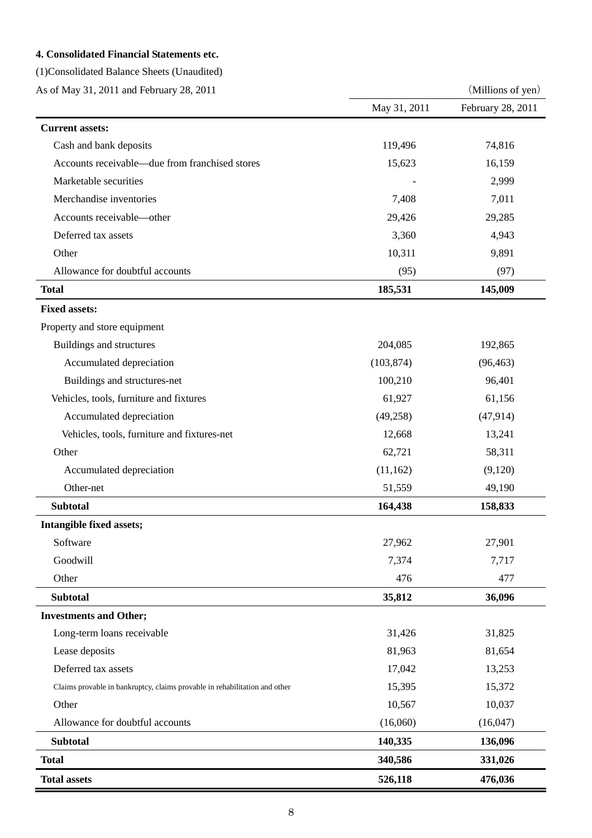# **4. Consolidated Financial Statements etc.**

(1)Consolidated Balance Sheets (Unaudited)

As of May 31, 2011 and February 28, 2011 (Millions of yen)

|                                                                            | May 31, 2011 | February 28, 2011 |
|----------------------------------------------------------------------------|--------------|-------------------|
| <b>Current assets:</b>                                                     |              |                   |
| Cash and bank deposits                                                     | 119,496      | 74,816            |
| Accounts receivable—due from franchised stores                             | 15,623       | 16,159            |
| Marketable securities                                                      |              | 2,999             |
| Merchandise inventories                                                    | 7,408        | 7,011             |
| Accounts receivable-other                                                  | 29,426       | 29,285            |
| Deferred tax assets                                                        | 3,360        | 4,943             |
| Other                                                                      | 10,311       | 9,891             |
| Allowance for doubtful accounts                                            | (95)         | (97)              |
| <b>Total</b>                                                               | 185,531      | 145,009           |
| <b>Fixed assets:</b>                                                       |              |                   |
| Property and store equipment                                               |              |                   |
| Buildings and structures                                                   | 204,085      | 192,865           |
| Accumulated depreciation                                                   | (103, 874)   | (96, 463)         |
| Buildings and structures-net                                               | 100,210      | 96,401            |
| Vehicles, tools, furniture and fixtures                                    | 61,927       | 61,156            |
| Accumulated depreciation                                                   | (49,258)     | (47, 914)         |
| Vehicles, tools, furniture and fixtures-net                                | 12,668       | 13,241            |
| Other                                                                      | 62,721       | 58,311            |
| Accumulated depreciation                                                   | (11, 162)    | (9,120)           |
| Other-net                                                                  | 51,559       | 49,190            |
| <b>Subtotal</b>                                                            | 164,438      | 158,833           |
| Intangible fixed assets;                                                   |              |                   |
| Software                                                                   | 27,962       | 27,901            |
| Goodwill                                                                   | 7,374        | 7,717             |
| Other                                                                      | 476          | 477               |
| <b>Subtotal</b>                                                            | 35,812       | 36,096            |
| <b>Investments and Other;</b>                                              |              |                   |
| Long-term loans receivable                                                 | 31,426       | 31,825            |
| Lease deposits                                                             | 81,963       | 81,654            |
| Deferred tax assets                                                        | 17,042       | 13,253            |
| Claims provable in bankruptcy, claims provable in rehabilitation and other | 15,395       | 15,372            |
| Other                                                                      | 10,567       | 10,037            |
| Allowance for doubtful accounts                                            | (16,060)     | (16,047)          |
| <b>Subtotal</b>                                                            | 140,335      | 136,096           |
| <b>Total</b>                                                               | 340,586      | 331,026           |
| <b>Total assets</b>                                                        | 526,118      | 476,036           |

Ξ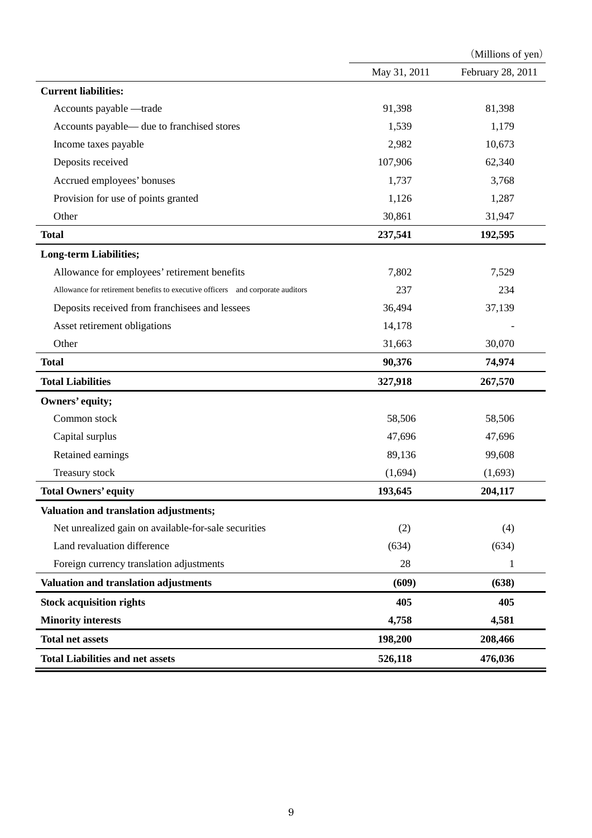|                                                                                |              | (Millions of yen) |
|--------------------------------------------------------------------------------|--------------|-------------------|
|                                                                                | May 31, 2011 | February 28, 2011 |
| <b>Current liabilities:</b>                                                    |              |                   |
| Accounts payable -trade                                                        | 91,398       | 81,398            |
| Accounts payable— due to franchised stores                                     | 1,539        | 1,179             |
| Income taxes payable                                                           | 2,982        | 10,673            |
| Deposits received                                                              | 107,906      | 62,340            |
| Accrued employees' bonuses                                                     | 1,737        | 3,768             |
| Provision for use of points granted                                            | 1,126        | 1,287             |
| Other                                                                          | 30,861       | 31,947            |
| <b>Total</b>                                                                   | 237,541      | 192,595           |
| <b>Long-term Liabilities;</b>                                                  |              |                   |
| Allowance for employees' retirement benefits                                   | 7,802        | 7,529             |
| Allowance for retirement benefits to executive officers and corporate auditors | 237          | 234               |
| Deposits received from franchisees and lessees                                 | 36,494       | 37,139            |
| Asset retirement obligations                                                   | 14,178       |                   |
| Other                                                                          | 31,663       | 30,070            |
| <b>Total</b>                                                                   | 90,376       | 74,974            |
| <b>Total Liabilities</b>                                                       | 327,918      | 267,570           |
| Owners' equity;                                                                |              |                   |
| Common stock                                                                   | 58,506       | 58,506            |
| Capital surplus                                                                | 47,696       | 47,696            |
| Retained earnings                                                              | 89,136       | 99,608            |
| Treasury stock                                                                 | (1,694)      | (1,693)           |
| <b>Total Owners' equity</b>                                                    | 193,645      | 204,117           |
| Valuation and translation adjustments;                                         |              |                   |
| Net unrealized gain on available-for-sale securities                           | (2)          | (4)               |
| Land revaluation difference                                                    | (634)        | (634)             |
| Foreign currency translation adjustments                                       | 28           | 1                 |
| Valuation and translation adjustments                                          | (609)        | (638)             |
| <b>Stock acquisition rights</b>                                                | 405          | 405               |
| <b>Minority interests</b>                                                      | 4,758        | 4,581             |
| <b>Total net assets</b>                                                        | 198,200      | 208,466           |
| <b>Total Liabilities and net assets</b>                                        | 526,118      | 476,036           |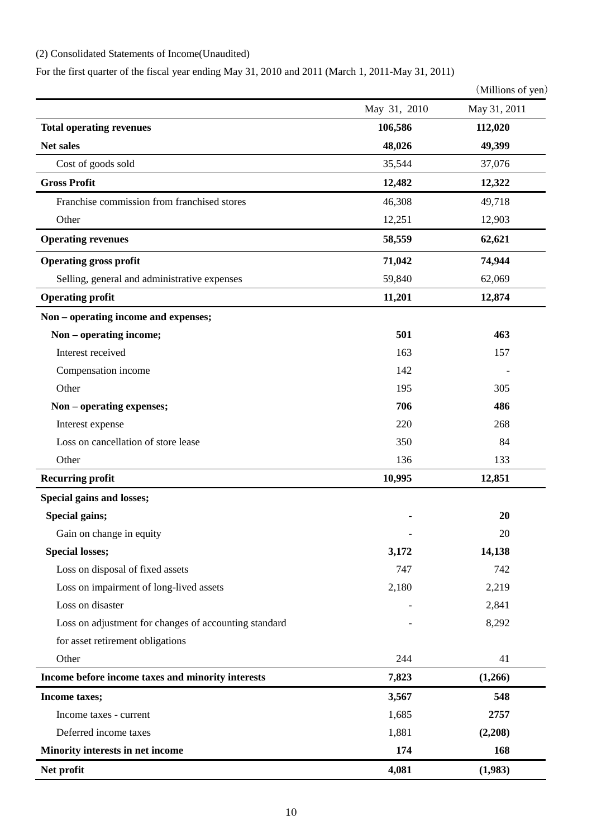# (2) Consolidated Statements of Income(Unaudited)

For the first quarter of the fiscal year ending May 31, 2010 and 2011 (March 1, 2011-May 31, 2011)

(Millions of yen)

|                                                       | May 31, 2010 | May 31, 2011 |
|-------------------------------------------------------|--------------|--------------|
| <b>Total operating revenues</b>                       | 106,586      |              |
| Net sales                                             | 48,026       | 49,399       |
| Cost of goods sold                                    | 35,544       | 37,076       |
| <b>Gross Profit</b>                                   | 12,482       | 12,322       |
| Franchise commission from franchised stores           | 46,308       | 49,718       |
| Other                                                 | 12,251       | 12,903       |
| <b>Operating revenues</b>                             | 58,559       | 62,621       |
| <b>Operating gross profit</b>                         | 71,042       | 74,944       |
| Selling, general and administrative expenses          | 59,840       | 62,069       |
| <b>Operating profit</b>                               | 11,201       | 12,874       |
| Non – operating income and expenses;                  |              |              |
| Non - operating income;                               | 501          | 463          |
| Interest received                                     | 163          | 157          |
| Compensation income                                   | 142          |              |
| Other                                                 | 195          | 305          |
| Non - operating expenses;                             | 706          | 486          |
| Interest expense                                      | 220          | 268          |
| Loss on cancellation of store lease                   | 350          | 84           |
| Other                                                 | 136          | 133          |
| <b>Recurring profit</b>                               | 10,995       | 12,851       |
| Special gains and losses;                             |              |              |
| Special gains;                                        |              | 20           |
| Gain on change in equity                              |              | 20           |
| <b>Special losses;</b>                                | 3,172        | 14,138       |
| Loss on disposal of fixed assets                      | 747          | 742          |
| Loss on impairment of long-lived assets               | 2,180        | 2,219        |
| Loss on disaster                                      |              | 2,841        |
| Loss on adjustment for changes of accounting standard |              | 8,292        |
| for asset retirement obligations                      |              |              |
| Other                                                 | 244          | 41           |
| Income before income taxes and minority interests     | 7,823        | (1,266)      |
| Income taxes;                                         | 3,567        | 548          |
| Income taxes - current                                | 1,685        | 2757         |
| Deferred income taxes                                 | 1,881        | (2,208)      |
| Minority interests in net income                      | 174          | 168          |
| Net profit                                            | 4,081        | (1,983)      |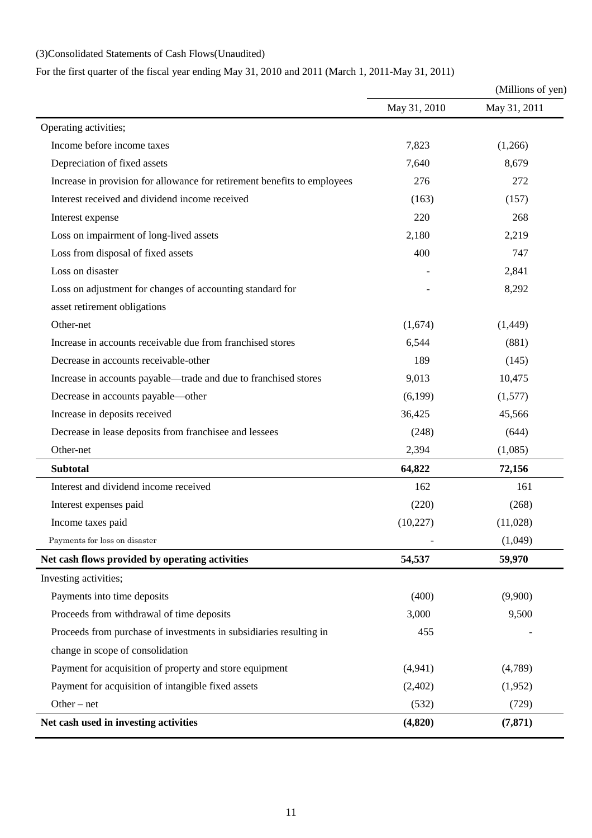# (3)Consolidated Statements of Cash Flows(Unaudited)

For the first quarter of the fiscal year ending May 31, 2010 and 2011 (March 1, 2011-May 31, 2011)

|                                                                          | (Millions of yen) |              |  |
|--------------------------------------------------------------------------|-------------------|--------------|--|
|                                                                          | May 31, 2010      | May 31, 2011 |  |
| Operating activities;                                                    |                   |              |  |
| Income before income taxes                                               | 7,823             | (1,266)      |  |
| Depreciation of fixed assets                                             | 7,640             | 8,679        |  |
| Increase in provision for allowance for retirement benefits to employees | 276               | 272          |  |
| Interest received and dividend income received                           | (163)             | (157)        |  |
| Interest expense                                                         | 220               | 268          |  |
| Loss on impairment of long-lived assets                                  | 2,180             | 2,219        |  |
| Loss from disposal of fixed assets                                       | 400               | 747          |  |
| Loss on disaster                                                         |                   | 2,841        |  |
| Loss on adjustment for changes of accounting standard for                |                   | 8,292        |  |
| asset retirement obligations                                             |                   |              |  |
| Other-net                                                                | (1,674)           | (1,449)      |  |
| Increase in accounts receivable due from franchised stores               | 6,544             | (881)        |  |
| Decrease in accounts receivable-other                                    | 189               | (145)        |  |
| Increase in accounts payable—trade and due to franchised stores          | 9,013             | 10,475       |  |
| Decrease in accounts payable-other                                       | (6,199)           | (1,577)      |  |
| Increase in deposits received                                            | 36,425            | 45,566       |  |
| Decrease in lease deposits from franchisee and lessees                   | (248)             | (644)        |  |
| Other-net                                                                | 2,394             | (1,085)      |  |
| <b>Subtotal</b>                                                          | 64,822            | 72,156       |  |
| Interest and dividend income received                                    | 162               | 161          |  |
| Interest expenses paid                                                   | (220)             | (268)        |  |
| Income taxes paid                                                        | (10,227)          | (11,028)     |  |
| Payments for loss on disaster                                            |                   | (1,049)      |  |
| Net cash flows provided by operating activities                          | 54,537            | 59,970       |  |
| Investing activities;                                                    |                   |              |  |
| Payments into time deposits                                              | (400)             | (9,900)      |  |
| Proceeds from withdrawal of time deposits                                | 3,000             | 9,500        |  |
| Proceeds from purchase of investments in subsidiaries resulting in       | 455               |              |  |
| change in scope of consolidation                                         |                   |              |  |
| Payment for acquisition of property and store equipment                  | (4,941)           | (4,789)      |  |
| Payment for acquisition of intangible fixed assets                       | (2,402)           | (1,952)      |  |
| Other $-$ net                                                            | (532)             | (729)        |  |
| Net cash used in investing activities                                    | (4,820)           | (7, 871)     |  |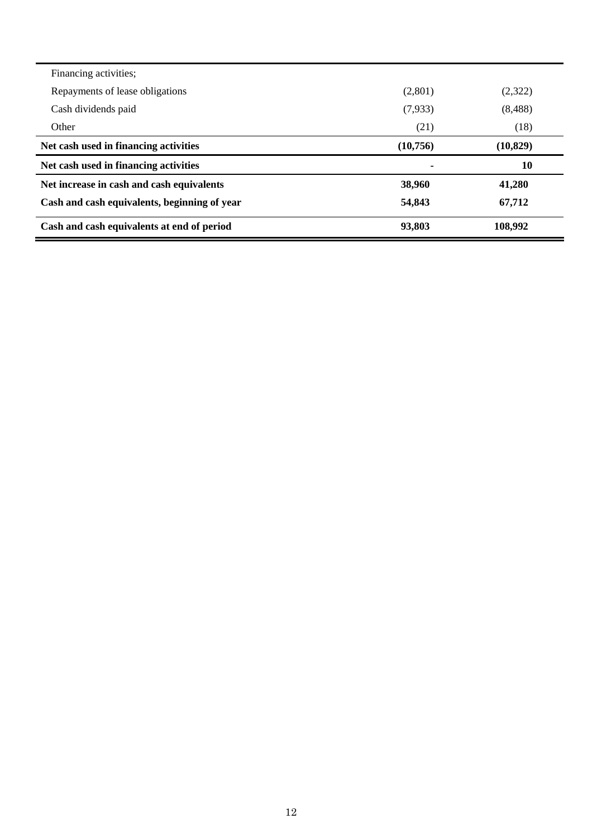| Financing activities;                        |          |           |
|----------------------------------------------|----------|-----------|
| Repayments of lease obligations              | (2,801)  | (2,322)   |
| Cash dividends paid                          | (7,933)  | (8,488)   |
| Other                                        | (21)     | (18)      |
| Net cash used in financing activities        | (10,756) | (10, 829) |
| Net cash used in financing activities        |          | 10        |
| Net increase in cash and cash equivalents    | 38,960   | 41,280    |
| Cash and cash equivalents, beginning of year | 54,843   | 67,712    |
| Cash and cash equivalents at end of period   | 93,803   | 108,992   |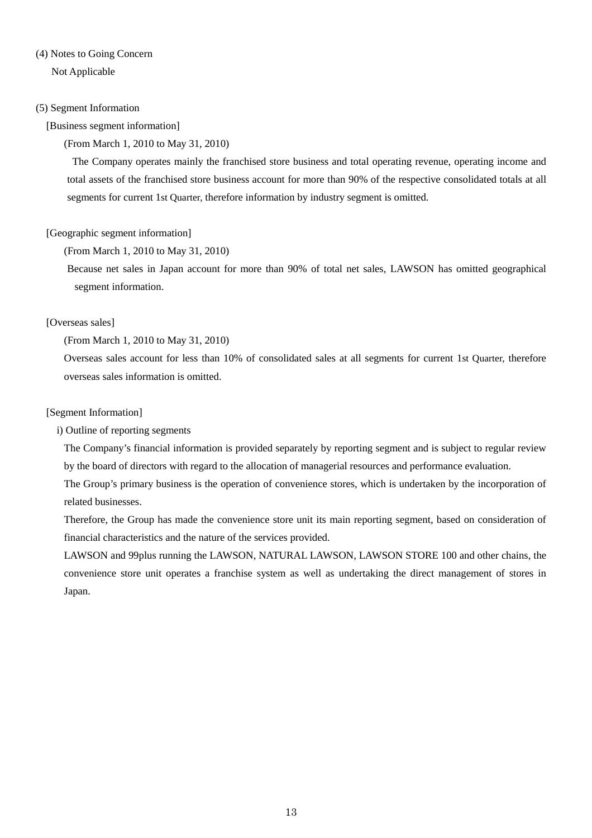# (4) Notes to Going Concern

Not Applicable

### (5) Segment Information

### [Business segment information]

### (From March 1, 2010 to May 31, 2010)

 The Company operates mainly the franchised store business and total operating revenue, operating income and total assets of the franchised store business account for more than 90% of the respective consolidated totals at all segments for current 1st Quarter, th*e*refore information by industry segment is omitted.

## [Geographic segment information]

### (From March 1, 2010 to May 31, 2010)

Because net sales in Japan account for more than 90% of total net sales, LAWSON has omitted geographical segment information.

## [Overseas sales]

### (From March 1, 2010 to May 31, 2010)

Overseas sales account for less than 10% of consolidated sales at all segments for current 1st Quarter, therefore overseas sales information is omitted.

### [Segment Information]

i) Outline of reporting segments

The Company's financial information is provided separately by reporting segment and is subject to regular review by the board of directors with regard to the allocation of managerial resources and performance evaluation.

The Group's primary business is the operation of convenience stores, which is undertaken by the incorporation of related businesses.

Therefore, the Group has made the convenience store unit its main reporting segment, based on consideration of financial characteristics and the nature of the services provided.

LAWSON and 99plus running the LAWSON, NATURAL LAWSON, LAWSON STORE 100 and other chains, the convenience store unit operates a franchise system as well as undertaking the direct management of stores in Japan.